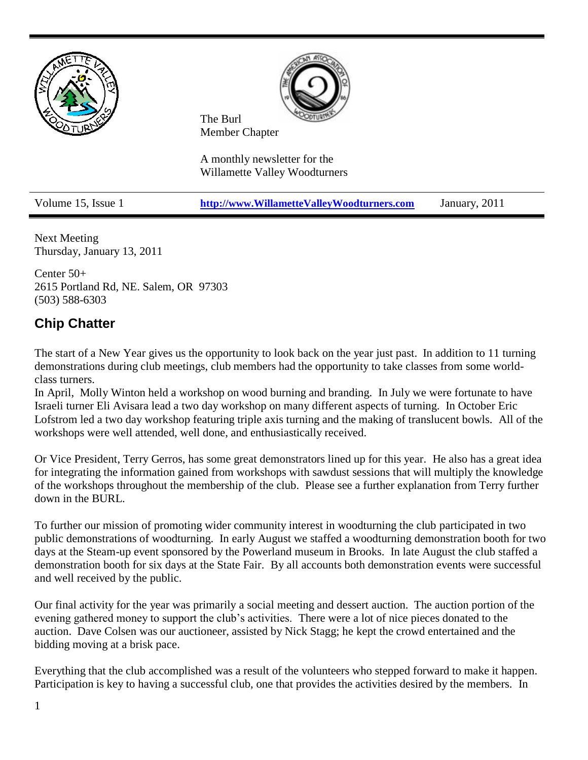



The Burl Member Chapter

A monthly newsletter for the Willamette Valley Woodturners

Volume 15, Issue 1 **[http://www.WillametteValleyWoodturners.com](http://www.willamettevalleywoodturners.com/)** January, 2011

Next Meeting Thursday, January 13, 2011

Center 50+ 2615 Portland Rd, NE. Salem, OR 97303 (503) 588-6303

### **Chip Chatter**

The start of a New Year gives us the opportunity to look back on the year just past. In addition to 11 turning demonstrations during club meetings, club members had the opportunity to take classes from some worldclass turners.

In April, Molly Winton held a workshop on wood burning and branding. In July we were fortunate to have Israeli turner Eli Avisara lead a two day workshop on many different aspects of turning. In October Eric Lofstrom led a two day workshop featuring triple axis turning and the making of translucent bowls. All of the workshops were well attended, well done, and enthusiastically received.

Or Vice President, Terry Gerros, has some great demonstrators lined up for this year. He also has a great idea for integrating the information gained from workshops with sawdust sessions that will multiply the knowledge of the workshops throughout the membership of the club. Please see a further explanation from Terry further down in the BURL.

To further our mission of promoting wider community interest in woodturning the club participated in two public demonstrations of woodturning. In early August we staffed a woodturning demonstration booth for two days at the Steam-up event sponsored by the Powerland museum in Brooks. In late August the club staffed a demonstration booth for six days at the State Fair. By all accounts both demonstration events were successful and well received by the public.

Our final activity for the year was primarily a social meeting and dessert auction. The auction portion of the evening gathered money to support the club's activities. There were a lot of nice pieces donated to the auction. Dave Colsen was our auctioneer, assisted by Nick Stagg; he kept the crowd entertained and the bidding moving at a brisk pace.

Everything that the club accomplished was a result of the volunteers who stepped forward to make it happen. Participation is key to having a successful club, one that provides the activities desired by the members. In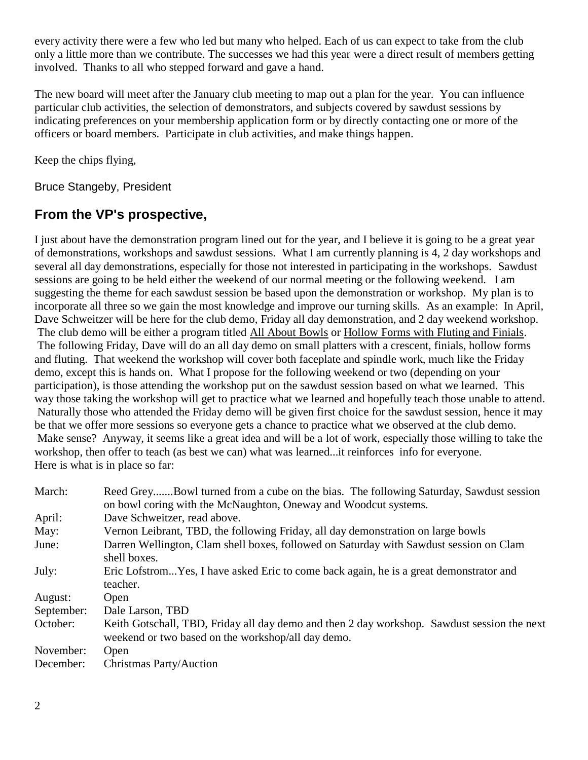every activity there were a few who led but many who helped. Each of us can expect to take from the club only a little more than we contribute. The successes we had this year were a direct result of members getting involved. Thanks to all who stepped forward and gave a hand.

The new board will meet after the January club meeting to map out a plan for the year. You can influence particular club activities, the selection of demonstrators, and subjects covered by sawdust sessions by indicating preferences on your membership application form or by directly contacting one or more of the officers or board members. Participate in club activities, and make things happen.

Keep the chips flying,

Bruce Stangeby, President

### **From the VP's prospective,**

I just about have the demonstration program lined out for the year, and I believe it is going to be a great year of demonstrations, workshops and sawdust sessions. What I am currently planning is 4, 2 day workshops and several all day demonstrations, especially for those not interested in participating in the workshops. Sawdust sessions are going to be held either the weekend of our normal meeting or the following weekend. I am suggesting the theme for each sawdust session be based upon the demonstration or workshop. My plan is to incorporate all three so we gain the most knowledge and improve our turning skills. As an example: In April, Dave Schweitzer will be here for the club demo, Friday all day demonstration, and 2 day weekend workshop. The club demo will be either a program titled All About Bowls or Hollow Forms with Fluting and Finials. The following Friday, Dave will do an all day demo on small platters with a crescent, finials, hollow forms and fluting. That weekend the workshop will cover both faceplate and spindle work, much like the Friday demo, except this is hands on. What I propose for the following weekend or two (depending on your participation), is those attending the workshop put on the sawdust session based on what we learned. This way those taking the workshop will get to practice what we learned and hopefully teach those unable to attend. Naturally those who attended the Friday demo will be given first choice for the sawdust session, hence it may be that we offer more sessions so everyone gets a chance to practice what we observed at the club demo. Make sense? Anyway, it seems like a great idea and will be a lot of work, especially those willing to take the workshop, then offer to teach (as best we can) what was learned...it reinforces info for everyone. Here is what is in place so far:

| March:     | Reed GreyBowl turned from a cube on the bias. The following Saturday, Sawdust session<br>on bowl coring with the McNaughton, Oneway and Woodcut systems. |  |  |  |  |
|------------|----------------------------------------------------------------------------------------------------------------------------------------------------------|--|--|--|--|
| April:     | Dave Schweitzer, read above.                                                                                                                             |  |  |  |  |
| May:       | Vernon Leibrant, TBD, the following Friday, all day demonstration on large bowls                                                                         |  |  |  |  |
| June:      | Darren Wellington, Clam shell boxes, followed on Saturday with Sawdust session on Clam<br>shell boxes.                                                   |  |  |  |  |
| July:      | Eric LofstromYes, I have asked Eric to come back again, he is a great demonstrator and<br>teacher.                                                       |  |  |  |  |
| August:    | Open                                                                                                                                                     |  |  |  |  |
| September: | Dale Larson, TBD                                                                                                                                         |  |  |  |  |
| October:   | Keith Gotschall, TBD, Friday all day demo and then 2 day workshop. Sawdust session the next<br>weekend or two based on the workshop/all day demo.        |  |  |  |  |
| November:  | Open                                                                                                                                                     |  |  |  |  |
| December:  | Christmas Party/Auction                                                                                                                                  |  |  |  |  |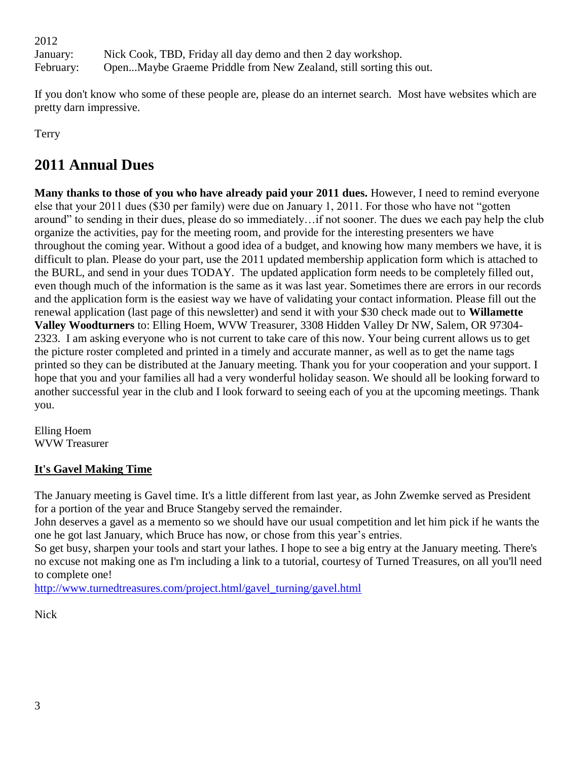2012 January: Nick Cook, TBD, Friday all day demo and then 2 day workshop. February: Open...Maybe Graeme Priddle from New Zealand, still sorting this out.

If you don't know who some of these people are, please do an internet search. Most have websites which are pretty darn impressive.

Terry

## **2011 Annual Dues**

**Many thanks to those of you who have already paid your 2011 dues.** However, I need to remind everyone else that your 2011 dues (\$30 per family) were due on January 1, 2011. For those who have not "gotten around" to sending in their dues, please do so immediately…if not sooner. The dues we each pay help the club organize the activities, pay for the meeting room, and provide for the interesting presenters we have throughout the coming year. Without a good idea of a budget, and knowing how many members we have, it is difficult to plan. Please do your part, use the 2011 updated membership application form which is attached to the BURL, and send in your dues TODAY. The updated application form needs to be completely filled out, even though much of the information is the same as it was last year. Sometimes there are errors in our records and the application form is the easiest way we have of validating your contact information. Please fill out the renewal application (last page of this newsletter) and send it with your \$30 check made out to **Willamette Valley Woodturners** to: Elling Hoem, WVW Treasurer, 3308 Hidden Valley Dr NW, Salem, OR 97304- 2323. I am asking everyone who is not current to take care of this now. Your being current allows us to get the picture roster completed and printed in a timely and accurate manner, as well as to get the name tags printed so they can be distributed at the January meeting. Thank you for your cooperation and your support. I hope that you and your families all had a very wonderful holiday season. We should all be looking forward to another successful year in the club and I look forward to seeing each of you at the upcoming meetings. Thank you.

Elling Hoem WVW Treasurer

### **It's Gavel Making Time**

The January meeting is Gavel time. It's a little different from last year, as John Zwemke served as President for a portion of the year and Bruce Stangeby served the remainder.

John deserves a gavel as a memento so we should have our usual competition and let him pick if he wants the one he got last January, which Bruce has now, or chose from this year's entries.

So get busy, sharpen your tools and start your lathes. I hope to see a big entry at the January meeting. There's no excuse not making one as I'm including a link to a tutorial, courtesy of Turned Treasures, on all you'll need to complete one!

[http://www.turnedtreasures.com/project.html/gavel\\_turning/gavel.html](http://www.turnedtreasures.com/project.html/gavel_turning/gavel.html)

Nick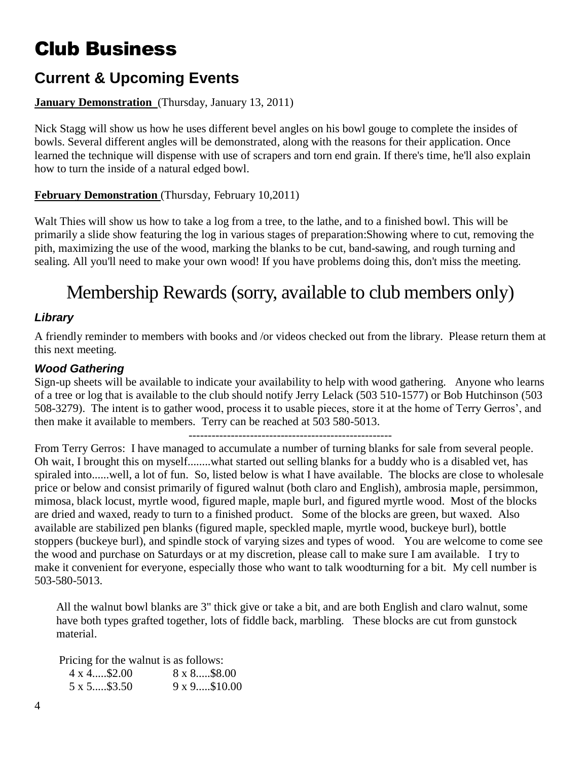# Club Business

## **Current & Upcoming Events**

### **January Demonstration** (Thursday, January 13, 2011)

Nick Stagg will show us how he uses different bevel angles on his bowl gouge to complete the insides of bowls. Several different angles will be demonstrated, along with the reasons for their application. Once learned the technique will dispense with use of scrapers and torn end grain. If there's time, he'll also explain how to turn the inside of a natural edged bowl.

### **February Demonstration** (Thursday, February 10,2011)

Walt Thies will show us how to take a log from a tree, to the lathe, and to a finished bowl. This will be primarily a slide show featuring the log in various stages of preparation:Showing where to cut, removing the pith, maximizing the use of the wood, marking the blanks to be cut, band-sawing, and rough turning and sealing. All you'll need to make your own wood! If you have problems doing this, don't miss the meeting.

## Membership Rewards (sorry, available to club members only)

### *Library*

A friendly reminder to members with books and /or videos checked out from the library. Please return them at this next meeting.

### *Wood Gathering*

Sign-up sheets will be available to indicate your availability to help with wood gathering. Anyone who learns of a tree or log that is available to the club should notify Jerry Lelack (503 510-1577) or Bob Hutchinson (503 508-3279). The intent is to gather wood, process it to usable pieces, store it at the home of Terry Gerros', and then make it available to members. Terry can be reached at 503 580-5013.

-----------------------------------------------------

From Terry Gerros: I have managed to accumulate a number of turning blanks for sale from several people. Oh wait, I brought this on myself........what started out selling blanks for a buddy who is a disabled vet, has spiraled into......well, a lot of fun. So, listed below is what I have available. The blocks are close to wholesale price or below and consist primarily of figured walnut (both claro and English), ambrosia maple, persimmon, mimosa, black locust, myrtle wood, figured maple, maple burl, and figured myrtle wood. Most of the blocks are dried and waxed, ready to turn to a finished product. Some of the blocks are green, but waxed. Also available are stabilized pen blanks (figured maple, speckled maple, myrtle wood, buckeye burl), bottle stoppers (buckeye burl), and spindle stock of varying sizes and types of wood. You are welcome to come see the wood and purchase on Saturdays or at my discretion, please call to make sure I am available. I try to make it convenient for everyone, especially those who want to talk woodturning for a bit. My cell number is 503-580-5013.

All the walnut bowl blanks are 3" thick give or take a bit, and are both English and claro walnut, some have both types grafted together, lots of fiddle back, marbling. These blocks are cut from gunstock material.

Pricing for the walnut is as follows:

| $4 \times 4$ \$2.00 | 8 x 8\$8.00          |
|---------------------|----------------------|
| 5 x 5\$3.50         | $9 \times 9$ \$10.00 |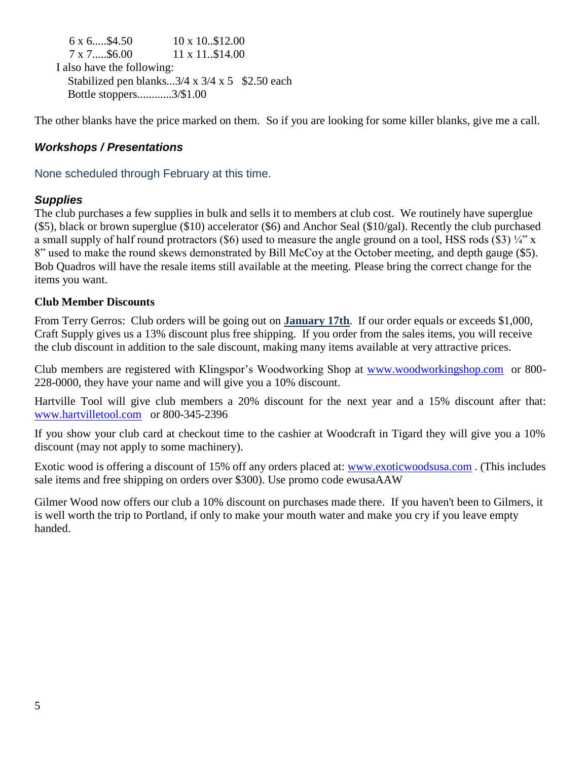$6 \times 6$ ....\$4.50  $10 \times 10.812.00$ 7 x 7.....\$6.00 11 x 11..\$14.00 I also have the following: Stabilized pen blanks... $3/4 \times 3/4 \times 5$  \$2.50 each Bottle stoppers............3/\$1.00

The other blanks have the price marked on them. So if you are looking for some killer blanks, give me a call.

### *Workshops / Presentations*

None scheduled through February at this time.

### *Supplies*

The club purchases a few supplies in bulk and sells it to members at club cost. We routinely have superglue (\$5), black or brown superglue (\$10) accelerator (\$6) and Anchor Seal (\$10/gal). Recently the club purchased a small supply of half round protractors (\$6) used to measure the angle ground on a tool, HSS rods (\$3)  $\frac{1}{4}$ " x 8" used to make the round skews demonstrated by Bill McCoy at the October meeting, and depth gauge (\$5). Bob Quadros will have the resale items still available at the meeting. Please bring the correct change for the items you want.

### **Club Member Discounts**

From Terry Gerros: Club orders will be going out on **January 17th**. If our order equals or exceeds \$1,000, Craft Supply gives us a 13% discount plus free shipping. If you order from the sales items, you will receive the club discount in addition to the sale discount, making many items available at very attractive prices.

Club members are registered with Klingspor's Woodworking Shop at [www.woodworkingshop.com](http://www.woodworkingshop.com/)or 800- 228-0000, they have your name and will give you a 10% discount.

Hartville Tool will give club members a 20% discount for the next year and a 15% discount after that: [www.hartvilletool.com](http://www.hartvilletool.com/)or 800-345-2396

If you show your club card at checkout time to the cashier at Woodcraft in Tigard they will give you a 10% discount (may not apply to some machinery).

Exotic wood is offering a discount of 15% off any orders placed at: [www.exoticwoodsusa.com](http://www.exoticwoodsusa.com/) . (This includes sale items and free shipping on orders over \$300). Use promo code ewusaAAW

Gilmer Wood now offers our club a 10% discount on purchases made there. If you haven't been to Gilmers, it is well worth the trip to Portland, if only to make your mouth water and make you cry if you leave empty handed.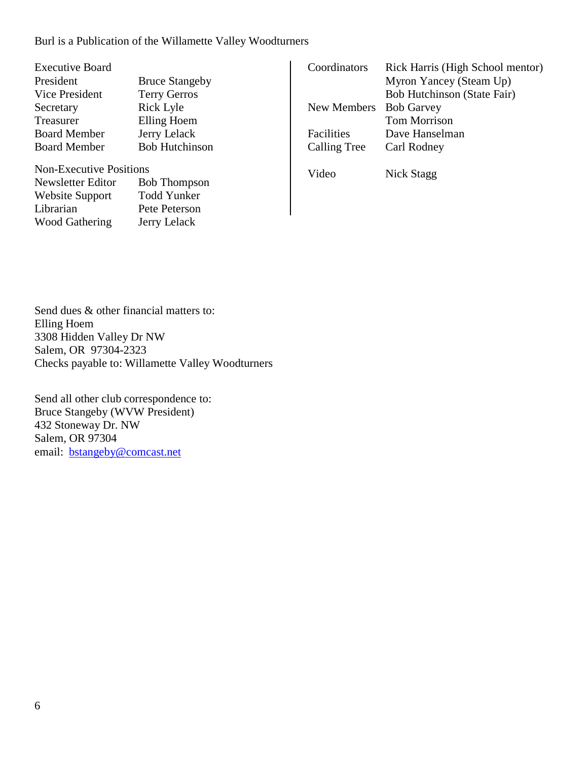### Burl is a Publication of the Willamette Valley Woodturners

| <b>Executive Board</b> |                       |
|------------------------|-----------------------|
| President              | <b>Bruce Stangeby</b> |
| <b>Vice President</b>  | <b>Terry Gerros</b>   |
| Secretary              | <b>Rick Lyle</b>      |
| Treasurer              | Elling Hoem           |
| <b>Board Member</b>    | Jerry Lelack          |
| <b>Board Member</b>    | <b>Bob Hutchinson</b> |
|                        |                       |

Non-Executive Positions Newsletter Editor Bob Thompson Website Support Todd Yunker Librarian Pete Peterson Wood Gathering Jerry Lelack

| Coordinators | Rick Harris (High School mentor) |
|--------------|----------------------------------|
|              | Myron Yancey (Steam Up)          |
|              | Bob Hutchinson (State Fair)      |
| New Members  | <b>Bob Garvey</b>                |
|              | <b>Tom Morrison</b>              |
| Facilities   | Dave Hanselman                   |
| Calling Tree | Carl Rodney                      |
|              |                                  |

Video Nick Stagg

Send dues & other financial matters to: Elling Hoem 3308 Hidden Valley Dr NW Salem, OR 97304-2323 Checks payable to: Willamette Valley Woodturners

Send all other club correspondence to: Bruce Stangeby (WVW President) 432 Stoneway Dr. NW Salem, OR 97304 email: [bstangeby@comcast.net](mailto:bstangeby@comcast.net)